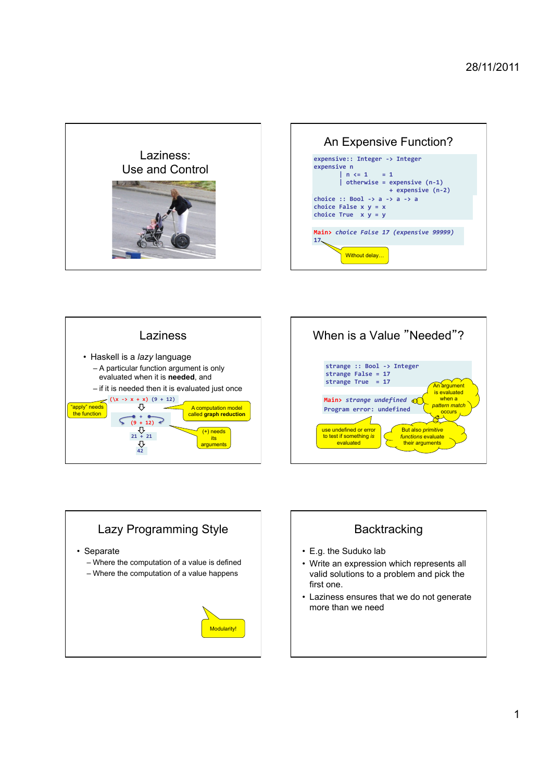









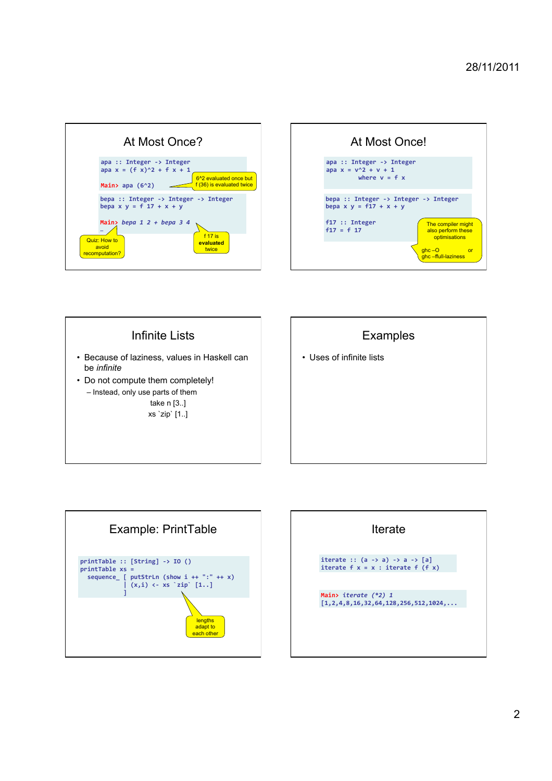| At Most Once? |                                                                                                                                                    |  |  |
|---------------|----------------------------------------------------------------------------------------------------------------------------------------------------|--|--|
|               | $apa :: Integer -> Integer$<br>apa $x = (f x)^2 + f x + 1$<br>6 <sup>^2</sup> evaluated once but<br>f (36) is evaluated twice<br>Main> apa $(6^2)$ |  |  |
|               | bepa :: Integer -> Integer -> Integer<br>bepa $x y = f 17 + x + y$<br>Main> bepa $1 2 + b$ epa 3 4                                                 |  |  |
|               | $\cdots$<br>f 17 is<br>Quiz: How to<br>evaluated<br>avoid<br>twice<br>recomputation?                                                               |  |  |







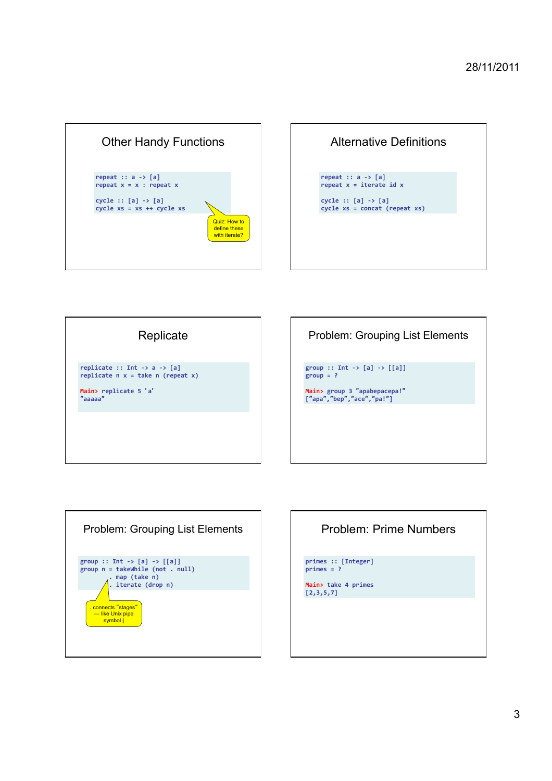

| repeat $:: a -> [a]$<br>repeat $x =$ iterate id $x =$             |
|-------------------------------------------------------------------|
|                                                                   |
| cycle $:: [a] \rightarrow [a]$<br>$cycle xs = concat (repeat xs)$ |







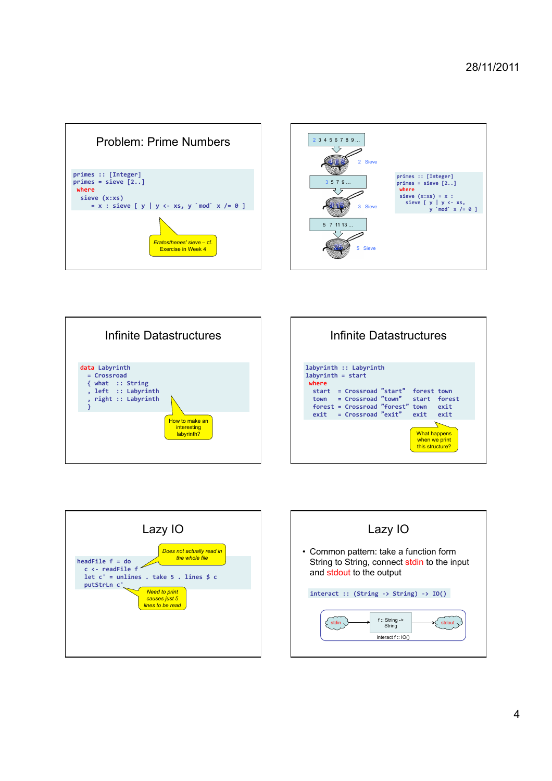









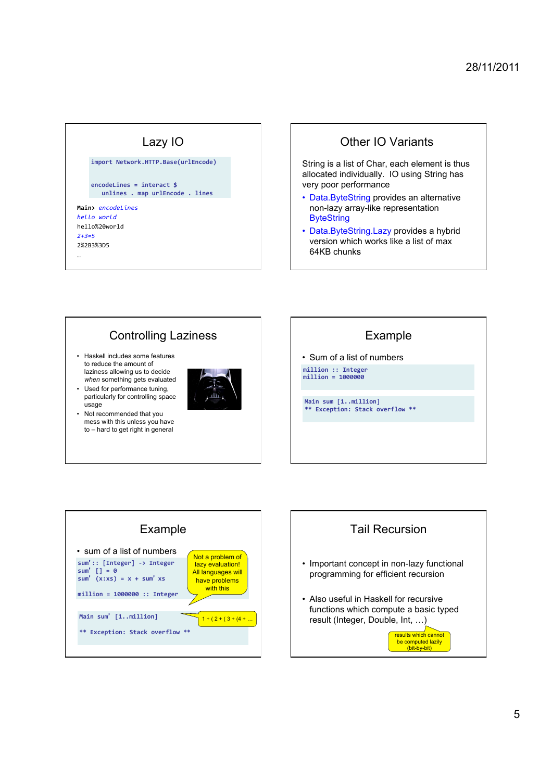### Lazy IO **Main>** *encodeLines*!! *hello+world+* hello%20world! *2+3=5+* 2%2B3%3D5! … **import)Network.HTTP.Base(urlEncode)) encodeLines)=)interact)\$ )) )))unlines).)map urlEncode).)lines))**

## Other IO Variants

String is a list of Char, each element is thus allocated individually. IO using String has very poor performance

- Data.ByteString provides an alternative non-lazy array-like representation **ByteString**
- Data.ByteString.Lazy provides a hybrid version which works like a list of max 64KB chunks

# Controlling Laziness

- Haskell includes some features to reduce the amount of laziness allowing us to decide *when* something gets evaluated
- Used for performance tuning, particularly for controlling space usage
- Not recommended that you mess with this unless you have to – hard to get right in general



## Example

• Sum of a list of numbers **million)::)Integer))**

**million)=)1000000)**

**Main)sum)[1..million])** Exception: Stack overflow \*\*



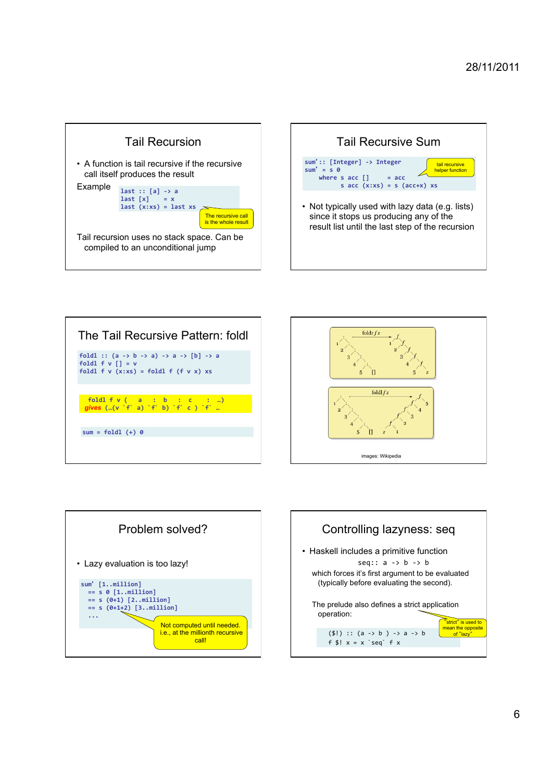









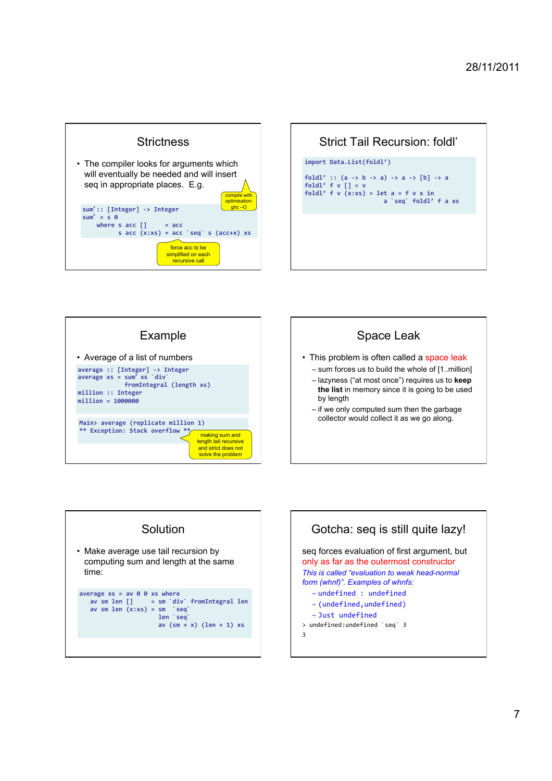

| Strict Tail Recursion: foldl'                                                                                                                                                                        |  |  |  |
|------------------------------------------------------------------------------------------------------------------------------------------------------------------------------------------------------|--|--|--|
| import Data.List(foldl')                                                                                                                                                                             |  |  |  |
| foldl':: $(a \rightarrow b \rightarrow a) \rightarrow a \rightarrow [b] \rightarrow a$<br>foldl' $f v$ $\vert$ = v<br>foldl' f $v(x:xs) = \text{let } a = f v x \text{ in}$<br>a `seq` foldl' f a xs |  |  |  |
|                                                                                                                                                                                                      |  |  |  |
|                                                                                                                                                                                                      |  |  |  |
|                                                                                                                                                                                                      |  |  |  |